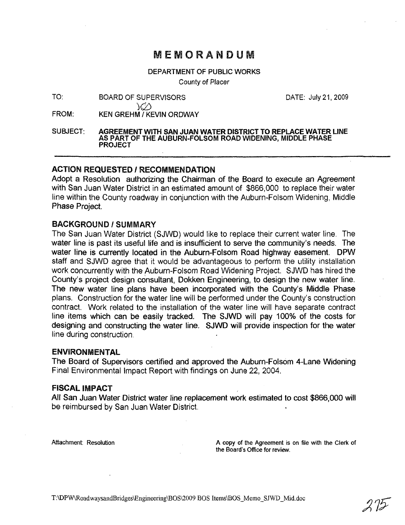## MEMORANDUM

DEPARTMENT OF PUBLIC WORKS

County of Placer

DATE: July 21, 2009

FROM: **KEN GREHM / KEVIN ORDWAY** 

 $\infty$ 

SUBJECT: AGREEMENT WITH SAN JUAN WATER DISTRICT TO REPLACE WATER LINE AS PART OF THE AUBURN~FOLSOM ROAD WIDENING, MIDDLE PHASE PROJECT

### ACTION REQUESTED I RECOMMENDATION

Adopt a Resolution authorizing the Chairman of the Board to execute an Agreement with San Juan Water District in an estimated amount of \$866,000 to replace their water line within the County roadway in conjunction with the Auburn~Folsom Widening, Middle Phase Project.

#### BACKGROUND/SUMMARY

The San Juan Water District (SJWD) would like to replace their current water line. The water line is past its useful life and is insufficient to serve the community's needs. The water line is currently located in the Auburn-Folsom Road highway easement. DPW staff and SJWD agree that it would be advantageous to perform the utility installation work concurrently with the Auburn-Folsom Road Widening Project. SJWD has hired the County's project design consultant, Dokken Engineering, to design the new water line. The new water line plans have been incorporated with the County's Middle Phase plans. Construction for the water line will be performed under the County's construction contract. Work related to the installation of the water line will have separate contract line items which can be easily tracked. The SJWD will pay 100% of the costs for designing and constructing the water line. SJWD will provide inspection for the water line during construction.

#### ENVIRONMENTAL

The Board of Supervisors certified and approved the Auburn-Folsom 4-Lane Widening Final Environmental Impact Report with findings on June 22, 2004.

#### FISCAL IMPACT .

All San Juan Water District water line replacement work estimated to cost \$866,000 will be reimbursed by San Juan Water District.

Attachment: Resolution **A** copy of the Agreement is on file with the Clerk of the Board's Office for review.